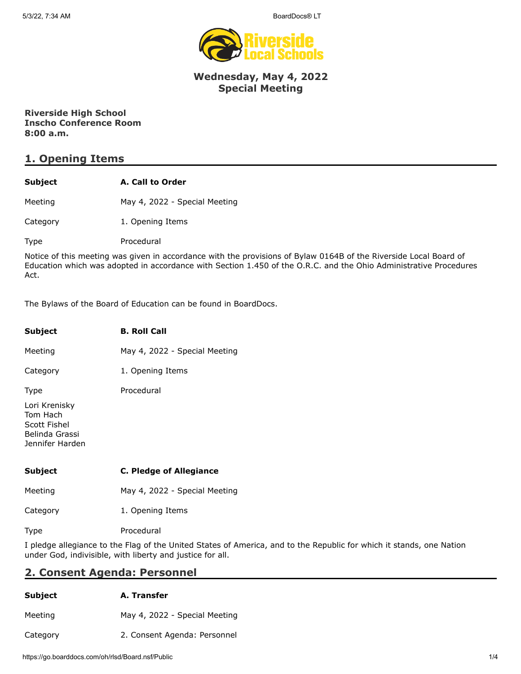

#### **Wednesday, May 4, 2022 Special Meeting**

**Riverside High School Inscho Conference Room 8:00 a.m.**

# **1. Opening Items**

| Subject | A. Call to Order |
|---------|------------------|
|         |                  |

Meeting May 4, 2022 - Special Meeting

Category 1. Opening Items

Type Procedural

Notice of this meeting was given in accordance with the provisions of Bylaw 0164B of the Riverside Local Board of Education which was adopted in accordance with Section 1.450 of the O.R.C. and the Ohio Administrative Procedures Act.

The Bylaws of the Board of Education can be found in BoardDocs.

| Subject                                                                        | <b>B. Roll Call</b>            |
|--------------------------------------------------------------------------------|--------------------------------|
| Meeting                                                                        | May 4, 2022 - Special Meeting  |
| Category                                                                       | 1. Opening Items               |
| <b>Type</b>                                                                    | Procedural                     |
| Lori Krenisky<br>Tom Hach<br>Scott Fishel<br>Belinda Grassi<br>Jennifer Harden |                                |
| Subject                                                                        | <b>C. Pledge of Allegiance</b> |
| Meeting                                                                        | May 4, 2022 - Special Meeting  |
| Category                                                                       | 1. Opening Items               |

Type Procedural

I pledge allegiance to the Flag of the United States of America, and to the Republic for which it stands, one Nation under God, indivisible, with liberty and justice for all.

## **2. Consent Agenda: Personnel**

| <b>Subject</b> | A. Transfer                   |
|----------------|-------------------------------|
| Meeting        | May 4, 2022 - Special Meeting |
| Category       | 2. Consent Agenda: Personnel  |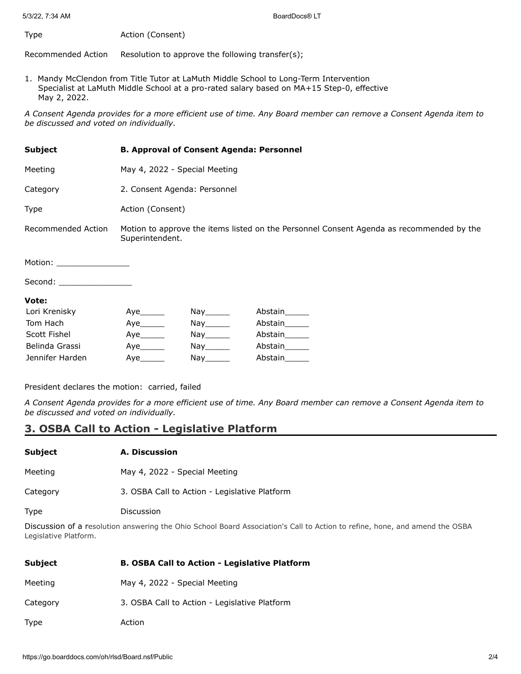Type **Action** (Consent)

Recommended Action Resolution to approve the following transfer(s);

1. Mandy McClendon from Title Tutor at LaMuth Middle School to Long-Term Intervention Specialist at LaMuth Middle School at a pro-rated salary based on MA+15 Step-0, effective May 2, 2022.

*A Consent Agenda provides for a more efficient use of time. Any Board member can remove a Consent Agenda item to be discussed and voted on individually.*

| <b>Subject</b>                                                                                                                                                                                                                 | <b>B. Approval of Consent Agenda: Personnel</b>                                                             |                                    |                |  |
|--------------------------------------------------------------------------------------------------------------------------------------------------------------------------------------------------------------------------------|-------------------------------------------------------------------------------------------------------------|------------------------------------|----------------|--|
| Meeting                                                                                                                                                                                                                        | May 4, 2022 - Special Meeting                                                                               |                                    |                |  |
| Category                                                                                                                                                                                                                       | 2. Consent Agenda: Personnel                                                                                |                                    |                |  |
| Type                                                                                                                                                                                                                           | Action (Consent)                                                                                            |                                    |                |  |
| Recommended Action                                                                                                                                                                                                             | Motion to approve the items listed on the Personnel Consent Agenda as recommended by the<br>Superintendent. |                                    |                |  |
| Motion: when the contract of the contract of the contract of the contract of the contract of the contract of the contract of the contract of the contract of the contract of the contract of the contract of the contract of t |                                                                                                             |                                    |                |  |
| Second: __________________                                                                                                                                                                                                     |                                                                                                             |                                    |                |  |
| Vote:                                                                                                                                                                                                                          |                                                                                                             |                                    |                |  |
| Lori Krenisky                                                                                                                                                                                                                  | Aye                                                                                                         | Nay______                          | Abstain______  |  |
| Tom Hach                                                                                                                                                                                                                       | Aye                                                                                                         | $\mathsf{Nay}$ <sub>________</sub> | Abstain        |  |
| Scott Fichal                                                                                                                                                                                                                   | ۸۱٬۵                                                                                                        | Nav                                | <b>Ahctain</b> |  |

| Tom Hach        | Ave | Nav   | Abstain |
|-----------------|-----|-------|---------|
| Scott Fishel    | Aye | Nav l | Abstain |
| Belinda Grassi  | Ave | Nav   | Abstain |
| Jennifer Harden | Ave | Nav   | Abstain |
|                 |     |       |         |

President declares the motion: carried, failed

*A Consent Agenda provides for a more efficient use of time. Any Board member can remove a Consent Agenda item to be discussed and voted on individually.*

### **3. OSBA Call to Action - Legislative Platform**

| Subject  | A. Discussion                                 |
|----------|-----------------------------------------------|
| Meeting  | May 4, 2022 - Special Meeting                 |
| Category | 3. OSBA Call to Action - Legislative Platform |
| Type     | Discussion                                    |

Discussion of a resolution answering the Ohio School Board Association's Call to Action to refine, hone, and amend the OSBA Legislative Platform.

| <b>Subject</b> | <b>B. OSBA Call to Action - Legislative Platform</b> |
|----------------|------------------------------------------------------|
| Meeting        | May 4, 2022 - Special Meeting                        |
| Category       | 3. OSBA Call to Action - Legislative Platform        |
| Type           | Action                                               |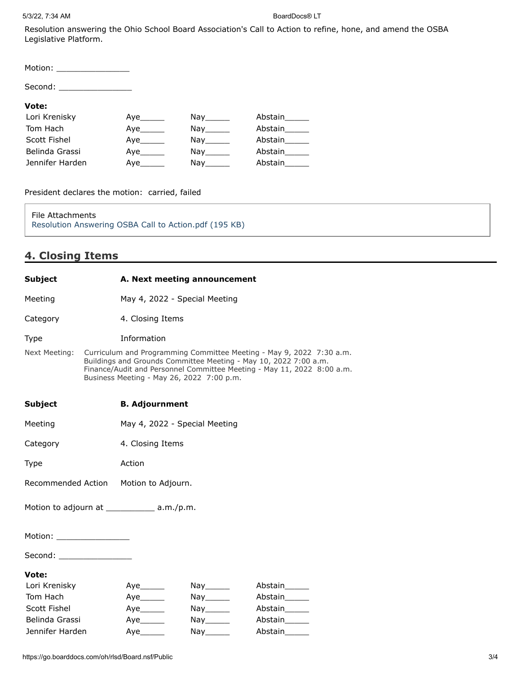Resolution answering the Ohio School Board Association's Call to Action to refine, hone, and amend the OSBA Legislative Platform.

| Motion: _________________ |     |                                                                                                                  |         |
|---------------------------|-----|------------------------------------------------------------------------------------------------------------------|---------|
|                           |     |                                                                                                                  |         |
| Vote:                     |     |                                                                                                                  |         |
| Lori Krenisky             | Aye | Nay the set of the set of the set of the set of the set of the set of the set of the set of the set of the set o | Abstain |
| Tom Hach                  | Aye | Nay the set of the set of the set of the set of the set of the set of the set of the set of the set of the set o | Abstain |
| Scott Fishel              | Aye | $\bigcap_{x \in \mathcal{X}} \mathcal{Y}(x) = 0$                                                                 | Abstain |
| Belinda Grassi            | Aye | Nay the set of the set of the set of the set of the set of the set of the set of the set of the set of the set o | Abstain |
| Jennifer Harden           | Aye | Nay the second the second second that the second second second the second second second second second second s   | Abstain |

President declares the motion: carried, failed

File Attachments [Resolution Answering OSBA Call to Action.pdf \(195 KB\)](https://go.boarddocs.com/oh/rlsd/Board.nsf/files/CE2G9Z42C7FC/$file/Resolution%20Answering%20OSBA%20Call%20to%20Action.pdf)

# **4. Closing Items**

| <b>Subject</b>                                |                                                                                                                                                                                                                                                                 | A. Next meeting announcement  |                                                  |                          |
|-----------------------------------------------|-----------------------------------------------------------------------------------------------------------------------------------------------------------------------------------------------------------------------------------------------------------------|-------------------------------|--------------------------------------------------|--------------------------|
| Meeting                                       |                                                                                                                                                                                                                                                                 | May 4, 2022 - Special Meeting |                                                  |                          |
| Category                                      |                                                                                                                                                                                                                                                                 | 4. Closing Items              |                                                  |                          |
| <b>Type</b>                                   |                                                                                                                                                                                                                                                                 | Information                   |                                                  |                          |
| Next Meeting:                                 | Curriculum and Programming Committee Meeting - May 9, 2022 7:30 a.m.<br>Buildings and Grounds Committee Meeting - May 10, 2022 7:00 a.m.<br>Finance/Audit and Personnel Committee Meeting - May 11, 2022 8:00 a.m.<br>Business Meeting - May 26, 2022 7:00 p.m. |                               |                                                  |                          |
| <b>Subject</b>                                |                                                                                                                                                                                                                                                                 | <b>B. Adjournment</b>         |                                                  |                          |
| Meeting                                       |                                                                                                                                                                                                                                                                 | May 4, 2022 - Special Meeting |                                                  |                          |
| Category                                      |                                                                                                                                                                                                                                                                 | 4. Closing Items              |                                                  |                          |
| Type                                          |                                                                                                                                                                                                                                                                 | Action                        |                                                  |                          |
| Recommended Action  Motion to Adjourn.        |                                                                                                                                                                                                                                                                 |                               |                                                  |                          |
| Motion to adjourn at ______________ a.m./p.m. |                                                                                                                                                                                                                                                                 |                               |                                                  |                          |
| Motion: __________________                    |                                                                                                                                                                                                                                                                 |                               |                                                  |                          |
| Second: _________________                     |                                                                                                                                                                                                                                                                 |                               |                                                  |                          |
| Vote:                                         |                                                                                                                                                                                                                                                                 |                               |                                                  |                          |
| Lori Krenisky                                 |                                                                                                                                                                                                                                                                 |                               | $\mathsf{Nay} \_\_\_\_\_\$                       | Abstain______            |
| Tom Hach                                      |                                                                                                                                                                                                                                                                 |                               | $\mathsf{Nay}$ <sub>________</sub>               | Abstain______            |
| Scott Fishel                                  |                                                                                                                                                                                                                                                                 |                               | $\mathsf{Nay}$ <sub>________</sub>               | Abstain______            |
| Belinda Grassi<br>Jennifer Harden             |                                                                                                                                                                                                                                                                 |                               | $\mathsf{Nay}$ <sub>________</sub><br>Nay_______ | Abstain______<br>Abstain |
|                                               |                                                                                                                                                                                                                                                                 |                               |                                                  |                          |